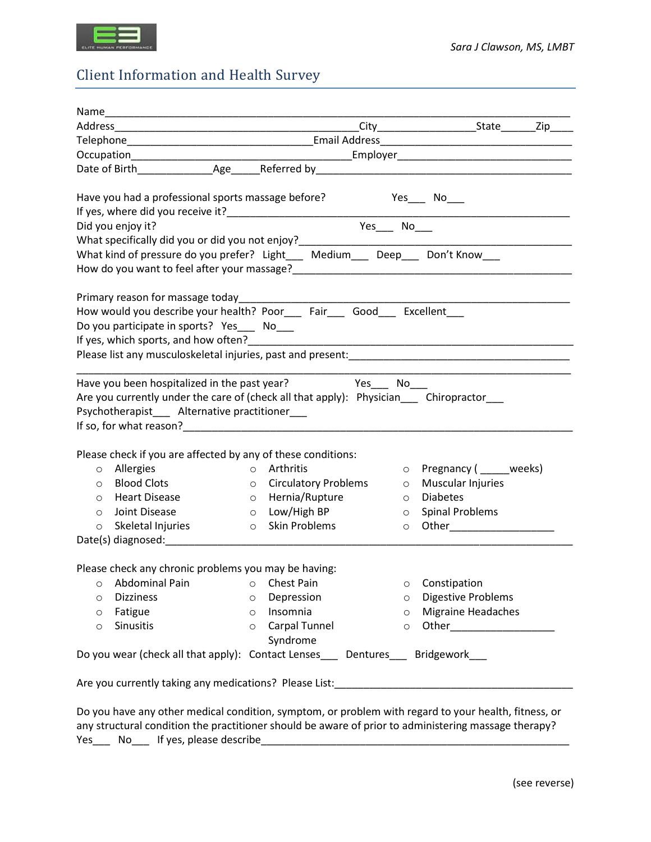

## Client Information and Health Survey

| Have you had a professional sports massage before? Yes____ No___<br>If yes, where did you receive it?<br>Did you onloy it?<br>Did you onloy it? |                          |         |                            |
|-------------------------------------------------------------------------------------------------------------------------------------------------|--------------------------|---------|----------------------------|
|                                                                                                                                                 |                          |         |                            |
|                                                                                                                                                 |                          |         |                            |
| What specifically did you or did you not enjoy?<br>What kind of pressure do you prefer? Light___ Medium___ Deep___ Don't Know___                |                          |         |                            |
|                                                                                                                                                 |                          |         |                            |
|                                                                                                                                                 |                          |         |                            |
|                                                                                                                                                 |                          |         |                            |
| How would you describe your health? Poor_____ Fair_____ Good_____ Excellent____                                                                 |                          |         |                            |
| Do you participate in sports? Yes___ No___                                                                                                      |                          |         |                            |
|                                                                                                                                                 |                          |         |                            |
|                                                                                                                                                 |                          |         |                            |
|                                                                                                                                                 |                          |         |                            |
|                                                                                                                                                 |                          |         |                            |
| Are you currently under the care of (check all that apply): Physician Chiropractor                                                              |                          |         |                            |
| Psychotherapist___ Alternative practitioner___                                                                                                  |                          |         |                            |
|                                                                                                                                                 |                          |         |                            |
|                                                                                                                                                 |                          |         |                            |
| Please check if you are affected by any of these conditions:                                                                                    |                          |         |                            |
| o Allergies                                                                                                                                     | o Arthritis              |         | o Pregnancy ( _____ weeks) |
| <b>Blood Clots</b><br>$\circ$                                                                                                                   | o Circulatory Problems   | $\circ$ | <b>Muscular Injuries</b>   |
| <b>Heart Disease</b><br>$\circ$                                                                                                                 | o Hernia/Rupture         | $\circ$ | <b>Diabetes</b>            |
| Joint Disease<br>$\circ$                                                                                                                        | O Low/High BP            | $\circ$ | <b>Spinal Problems</b>     |
| Skeletal Injuries<br>$\circ$                                                                                                                    | o Skin Problems          |         |                            |
|                                                                                                                                                 |                          |         |                            |
|                                                                                                                                                 |                          |         |                            |
| Please check any chronic problems you may be having:                                                                                            |                          |         |                            |
| Abdominal Pain<br>O                                                                                                                             | Chest Pain<br>$\circ$    | $\circ$ | Constipation               |
| <b>Dizziness</b><br>O                                                                                                                           | Depression<br>O          | $\circ$ | Digestive Problems         |
| Fatigue<br>O                                                                                                                                    | Insomnia<br>$\circ$      | $\circ$ | Migraine Headaches         |
| Sinusitis<br>$\circ$                                                                                                                            | Carpal Tunnel<br>$\circ$ | $\circ$ |                            |
|                                                                                                                                                 | Syndrome                 |         |                            |
| Do you wear (check all that apply): Contact Lenses Dentures Bridgework                                                                          |                          |         |                            |
|                                                                                                                                                 |                          |         |                            |
| Are you currently taking any medications? Please List:___________________________                                                               |                          |         |                            |
|                                                                                                                                                 |                          |         |                            |
| Do you have any other medical condition, symptom, or problem with regard to your health, fitness, or                                            |                          |         |                            |
| any structural condition the practitioner should be aware of prior to administering massage therapy?                                            |                          |         |                            |
|                                                                                                                                                 |                          |         |                            |

Yes\_\_\_ No\_\_\_ If yes, please describe\_\_\_\_\_\_\_\_\_\_\_\_\_\_\_\_\_\_\_\_\_\_\_\_\_\_\_\_\_\_\_\_\_\_\_\_\_\_\_\_\_\_\_\_\_\_\_\_\_\_\_\_\_